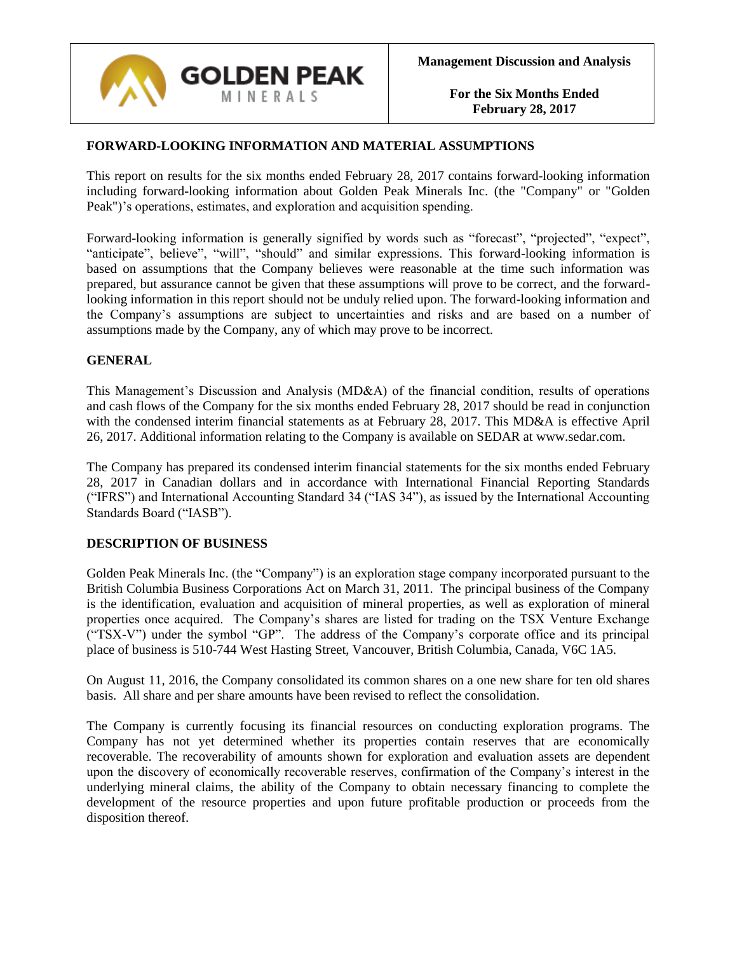

# **FORWARD-LOOKING INFORMATION AND MATERIAL ASSUMPTIONS**

This report on results for the six months ended February 28, 2017 contains forward-looking information including forward-looking information about Golden Peak Minerals Inc. (the "Company" or "Golden Peak")'s operations, estimates, and exploration and acquisition spending.

Forward-looking information is generally signified by words such as "forecast", "projected", "expect", "anticipate", believe", "will", "should" and similar expressions. This forward-looking information is based on assumptions that the Company believes were reasonable at the time such information was prepared, but assurance cannot be given that these assumptions will prove to be correct, and the forwardlooking information in this report should not be unduly relied upon. The forward-looking information and the Company's assumptions are subject to uncertainties and risks and are based on a number of assumptions made by the Company, any of which may prove to be incorrect.

### **GENERAL**

This Management's Discussion and Analysis (MD&A) of the financial condition, results of operations and cash flows of the Company for the six months ended February 28, 2017 should be read in conjunction with the condensed interim financial statements as at February 28, 2017. This MD&A is effective April 26, 2017. Additional information relating to the Company is available on SEDAR at www.sedar.com.

The Company has prepared its condensed interim financial statements for the six months ended February 28, 2017 in Canadian dollars and in accordance with International Financial Reporting Standards ("IFRS") and International Accounting Standard 34 ("IAS 34"), as issued by the International Accounting Standards Board ("IASB").

#### **DESCRIPTION OF BUSINESS**

Golden Peak Minerals Inc. (the "Company") is an exploration stage company incorporated pursuant to the British Columbia Business Corporations Act on March 31, 2011. The principal business of the Company is the identification, evaluation and acquisition of mineral properties, as well as exploration of mineral properties once acquired. The Company's shares are listed for trading on the TSX Venture Exchange ("TSX-V") under the symbol "GP". The address of the Company's corporate office and its principal place of business is 510-744 West Hasting Street, Vancouver, British Columbia, Canada, V6C 1A5.

On August 11, 2016, the Company consolidated its common shares on a one new share for ten old shares basis. All share and per share amounts have been revised to reflect the consolidation.

The Company is currently focusing its financial resources on conducting exploration programs. The Company has not yet determined whether its properties contain reserves that are economically recoverable. The recoverability of amounts shown for exploration and evaluation assets are dependent upon the discovery of economically recoverable reserves, confirmation of the Company's interest in the underlying mineral claims, the ability of the Company to obtain necessary financing to complete the development of the resource properties and upon future profitable production or proceeds from the disposition thereof.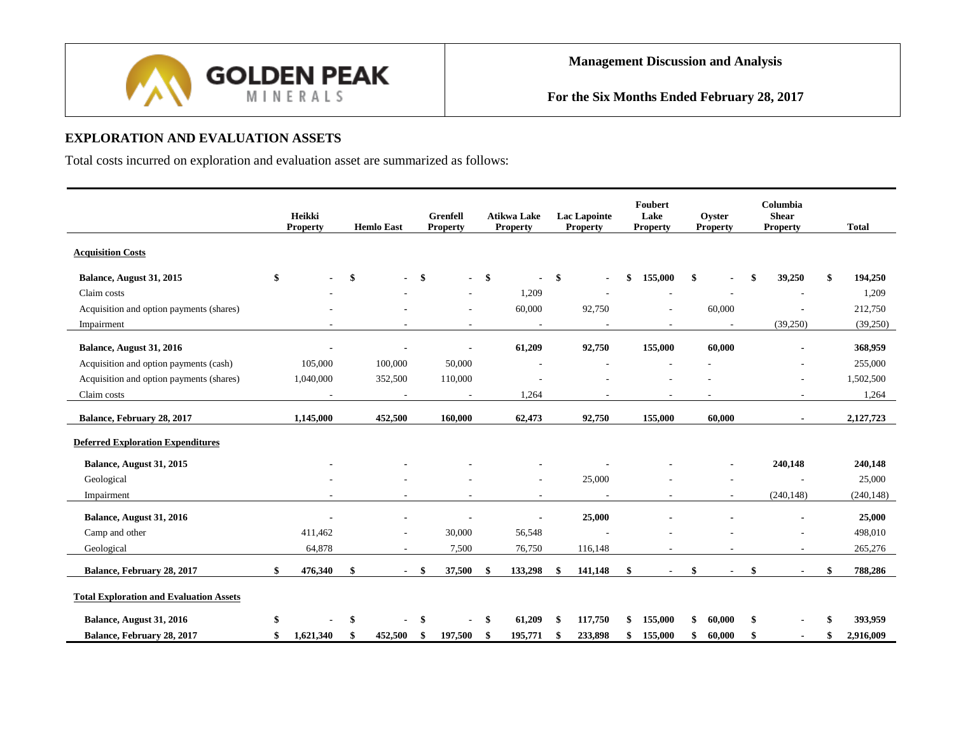

# **EXPLORATION AND EVALUATION ASSETS**

Total costs incurred on exploration and evaluation asset are summarized as follows:

|                                                |     | Heikki<br><b>Property</b> | <b>Hemlo East</b> |     | Grenfell<br><b>Property</b> |     | <b>Atikwa Lake</b><br><b>Property</b> | <b>Lac Lapointe</b><br><b>Property</b> | Foubert<br>Lake<br><b>Property</b> | Ovster<br><b>Property</b> | Columbia<br><b>Shear</b><br><b>Property</b> |    | <b>Total</b> |
|------------------------------------------------|-----|---------------------------|-------------------|-----|-----------------------------|-----|---------------------------------------|----------------------------------------|------------------------------------|---------------------------|---------------------------------------------|----|--------------|
| <b>Acquisition Costs</b>                       |     |                           |                   |     |                             |     |                                       |                                        |                                    |                           |                                             |    |              |
| Balance, August 31, 2015                       | \$  |                           | \$                | \$  | $\sim$                      | -\$ |                                       | \$                                     | \$<br>155,000                      | \$                        | 39,250                                      | -9 | 194,250      |
| Claim costs                                    |     |                           |                   |     |                             |     | 1,209                                 |                                        |                                    |                           |                                             |    | 1,209        |
| Acquisition and option payments (shares)       |     |                           |                   |     | $\sim$                      |     | 60,000                                | 92,750                                 | ٠                                  | 60,000                    |                                             |    | 212,750      |
| Impairment                                     |     |                           |                   |     | $\overline{\phantom{a}}$    |     | $\overline{\phantom{a}}$              |                                        | $\overline{\phantom{a}}$           | $\overline{\phantom{a}}$  | (39,250)                                    |    | (39,250)     |
| Balance, August 31, 2016                       |     |                           |                   |     |                             |     | 61,209                                | 92,750                                 | 155,000                            | 60,000                    |                                             |    | 368,959      |
| Acquisition and option payments (cash)         |     | 105,000                   | 100,000           |     | 50,000                      |     |                                       |                                        | $\overline{\phantom{a}}$           |                           |                                             |    | 255,000      |
| Acquisition and option payments (shares)       |     | 1,040,000                 | 352,500           |     | 110,000                     |     |                                       |                                        |                                    |                           |                                             |    | 1,502,500    |
| Claim costs                                    |     |                           |                   |     | $\overline{\phantom{a}}$    |     | 1,264                                 |                                        |                                    |                           |                                             |    | 1,264        |
|                                                |     |                           |                   |     |                             |     |                                       |                                        |                                    |                           |                                             |    |              |
| Balance, February 28, 2017                     |     | 1,145,000                 | 452,500           |     | 160,000                     |     | 62,473                                | 92,750                                 | 155,000                            | 60,000                    |                                             |    | 2,127,723    |
| <b>Deferred Exploration Expenditures</b>       |     |                           |                   |     |                             |     |                                       |                                        |                                    |                           |                                             |    |              |
| Balance, August 31, 2015                       |     |                           |                   |     |                             |     |                                       |                                        |                                    |                           | 240,148                                     |    | 240,148      |
| Geological                                     |     |                           |                   |     |                             |     | ٠                                     | 25,000                                 |                                    |                           |                                             |    | 25,000       |
| Impairment                                     |     |                           |                   |     | $\overline{\phantom{a}}$    |     | $\overline{\phantom{a}}$              |                                        | ä,                                 |                           | (240, 148)                                  |    | (240, 148)   |
| Balance, August 31, 2016                       |     |                           |                   |     |                             |     |                                       | 25,000                                 |                                    |                           |                                             |    | 25,000       |
| Camp and other                                 |     | 411,462                   |                   |     | 30,000                      |     | 56,548                                |                                        |                                    |                           |                                             |    | 498,010      |
| Geological                                     |     | 64,878                    |                   |     | 7,500                       |     | 76,750                                | 116,148                                |                                    |                           |                                             |    | 265,276      |
| Balance, February 28, 2017                     | \$  | 476,340                   | \$                | -\$ | 37,500                      | \$  | 133,298                               | \$<br>141.148                          | \$                                 | \$                        |                                             | \$ | 788,286      |
| <b>Total Exploration and Evaluation Assets</b> |     |                           |                   |     |                             |     |                                       |                                        |                                    |                           |                                             |    |              |
| Balance, August 31, 2016                       | \$  |                           | \$                |     |                             | -S  | 61,209                                | 117,750                                | \$<br>155,000                      | \$<br>60.000              | \$                                          |    | 393,959      |
| Balance, February 28, 2017                     | \$. | 1,621,340                 | 452,500           | -S  | 197,500                     | -\$ | 195,771                               | 233,898                                | \$<br>155,000                      | \$<br>60,000              | \$<br>$\blacksquare$                        | \$ | 2,916,009    |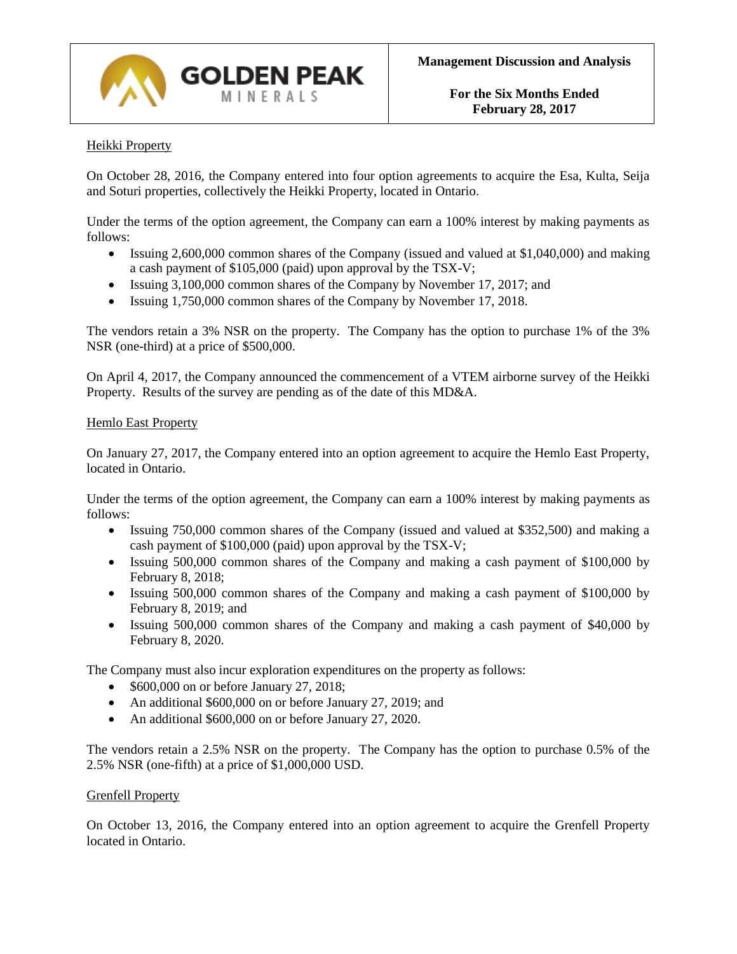

# Heikki Property

On October 28, 2016, the Company entered into four option agreements to acquire the Esa, Kulta, Seija and Soturi properties, collectively the Heikki Property, located in Ontario.

Under the terms of the option agreement, the Company can earn a 100% interest by making payments as follows:

- Issuing 2,600,000 common shares of the Company (issued and valued at \$1,040,000) and making a cash payment of \$105,000 (paid) upon approval by the TSX-V;
- Issuing 3,100,000 common shares of the Company by November 17, 2017; and
- Issuing 1,750,000 common shares of the Company by November 17, 2018.

The vendors retain a 3% NSR on the property. The Company has the option to purchase 1% of the 3% NSR (one-third) at a price of \$500,000.

On April 4, 2017, the Company announced the commencement of a VTEM airborne survey of the Heikki Property. Results of the survey are pending as of the date of this MD&A.

#### Hemlo East Property

On January 27, 2017, the Company entered into an option agreement to acquire the Hemlo East Property, located in Ontario.

Under the terms of the option agreement, the Company can earn a 100% interest by making payments as follows:

- Issuing 750,000 common shares of the Company (issued and valued at \$352,500) and making a cash payment of \$100,000 (paid) upon approval by the TSX-V;
- Issuing 500,000 common shares of the Company and making a cash payment of \$100,000 by February 8, 2018;
- Issuing 500,000 common shares of the Company and making a cash payment of \$100,000 by February 8, 2019; and
- Issuing 500,000 common shares of the Company and making a cash payment of \$40,000 by February 8, 2020.

The Company must also incur exploration expenditures on the property as follows:

- \$600,000 on or before January 27, 2018;
- An additional \$600,000 on or before January 27, 2019; and
- An additional \$600,000 on or before January 27, 2020.

The vendors retain a 2.5% NSR on the property. The Company has the option to purchase 0.5% of the 2.5% NSR (one-fifth) at a price of \$1,000,000 USD.

#### Grenfell Property

On October 13, 2016, the Company entered into an option agreement to acquire the Grenfell Property located in Ontario.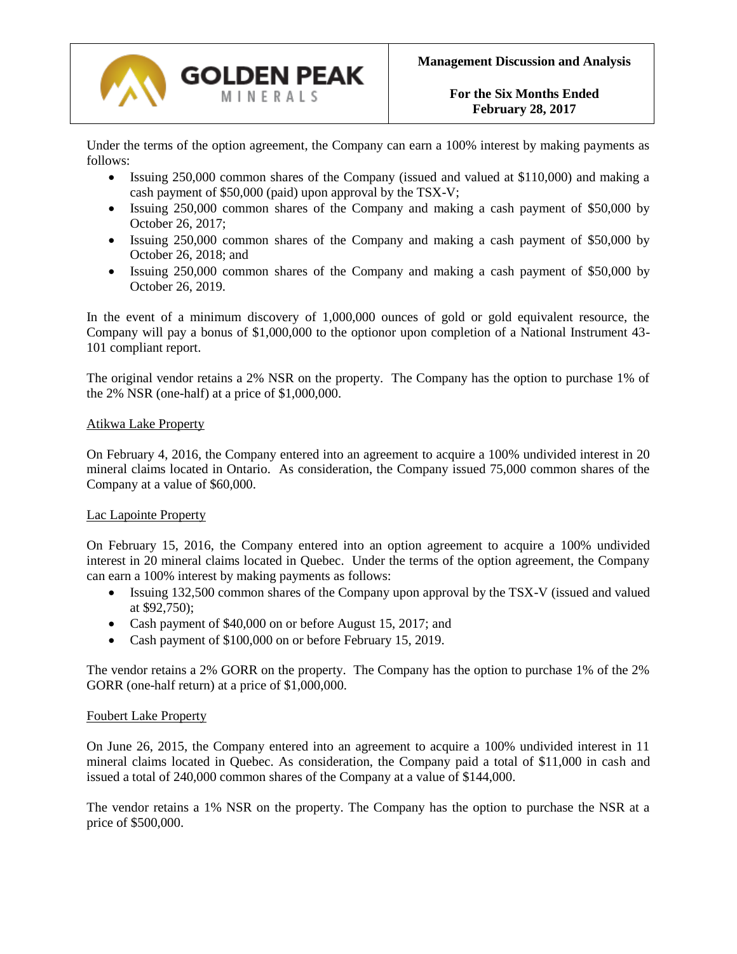

Under the terms of the option agreement, the Company can earn a 100% interest by making payments as follows:

- Issuing 250,000 common shares of the Company (issued and valued at \$110,000) and making a cash payment of \$50,000 (paid) upon approval by the TSX-V;
- Issuing 250,000 common shares of the Company and making a cash payment of \$50,000 by October 26, 2017;
- Issuing 250,000 common shares of the Company and making a cash payment of \$50,000 by October 26, 2018; and
- Issuing 250,000 common shares of the Company and making a cash payment of \$50,000 by October 26, 2019.

In the event of a minimum discovery of 1,000,000 ounces of gold or gold equivalent resource, the Company will pay a bonus of \$1,000,000 to the optionor upon completion of a National Instrument 43- 101 compliant report.

The original vendor retains a 2% NSR on the property. The Company has the option to purchase 1% of the 2% NSR (one-half) at a price of \$1,000,000.

#### Atikwa Lake Property

On February 4, 2016, the Company entered into an agreement to acquire a 100% undivided interest in 20 mineral claims located in Ontario. As consideration, the Company issued 75,000 common shares of the Company at a value of \$60,000.

#### Lac Lapointe Property

On February 15, 2016, the Company entered into an option agreement to acquire a 100% undivided interest in 20 mineral claims located in Quebec. Under the terms of the option agreement, the Company can earn a 100% interest by making payments as follows:

- Issuing 132,500 common shares of the Company upon approval by the TSX-V (issued and valued at \$92,750);
- Cash payment of \$40,000 on or before August 15, 2017; and
- Cash payment of \$100,000 on or before February 15, 2019.

The vendor retains a 2% GORR on the property. The Company has the option to purchase 1% of the 2% GORR (one-half return) at a price of \$1,000,000.

#### Foubert Lake Property

On June 26, 2015, the Company entered into an agreement to acquire a 100% undivided interest in 11 mineral claims located in Quebec. As consideration, the Company paid a total of \$11,000 in cash and issued a total of 240,000 common shares of the Company at a value of \$144,000.

The vendor retains a 1% NSR on the property. The Company has the option to purchase the NSR at a price of \$500,000.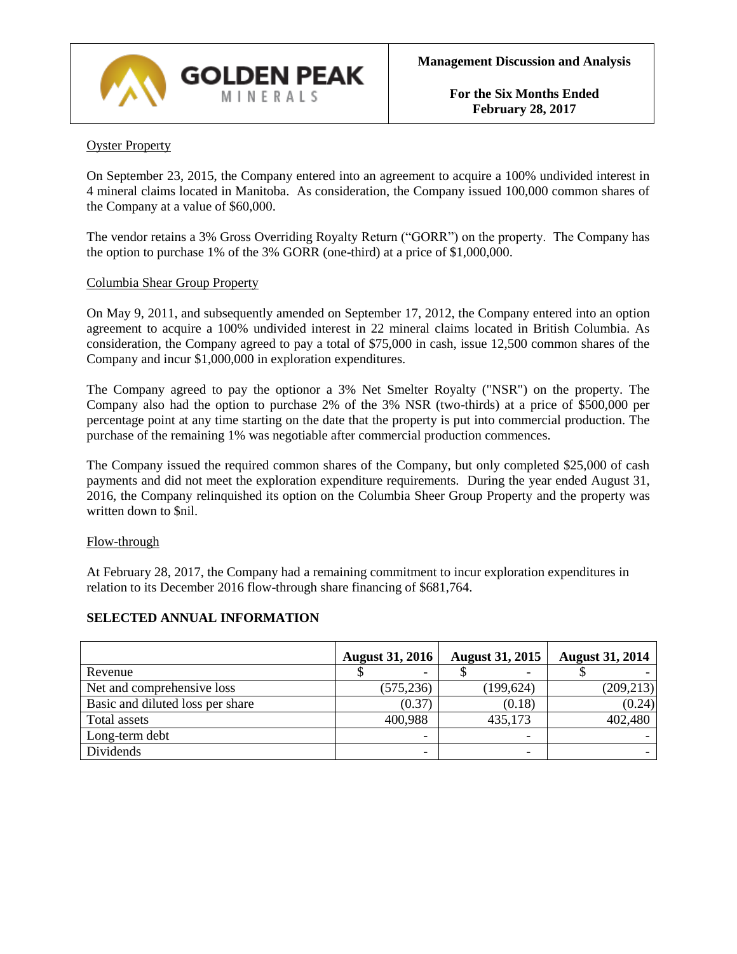

# Oyster Property

On September 23, 2015, the Company entered into an agreement to acquire a 100% undivided interest in 4 mineral claims located in Manitoba. As consideration, the Company issued 100,000 common shares of the Company at a value of \$60,000.

The vendor retains a 3% Gross Overriding Royalty Return ("GORR") on the property. The Company has the option to purchase 1% of the 3% GORR (one-third) at a price of \$1,000,000.

### Columbia Shear Group Property

On May 9, 2011, and subsequently amended on September 17, 2012, the Company entered into an option agreement to acquire a 100% undivided interest in 22 mineral claims located in British Columbia. As consideration, the Company agreed to pay a total of \$75,000 in cash, issue 12,500 common shares of the Company and incur \$1,000,000 in exploration expenditures.

The Company agreed to pay the optionor a 3% Net Smelter Royalty ("NSR") on the property. The Company also had the option to purchase 2% of the 3% NSR (two-thirds) at a price of \$500,000 per percentage point at any time starting on the date that the property is put into commercial production. The purchase of the remaining 1% was negotiable after commercial production commences.

The Company issued the required common shares of the Company, but only completed \$25,000 of cash payments and did not meet the exploration expenditure requirements. During the year ended August 31, 2016, the Company relinquished its option on the Columbia Sheer Group Property and the property was written down to \$nil.

#### Flow-through

At February 28, 2017, the Company had a remaining commitment to incur exploration expenditures in relation to its December 2016 flow-through share financing of \$681,764.

# **August 31, 2016 August 31, 2015 August 31, 2014** Revenue \$ - \$ - \$ - Net and comprehensive loss (575,236) (199,624) (209,213) Basic and diluted loss per share  $(0.37)$  (0.18) (0.24) (0.24) Total assets 100,988 435,173 402,480 Long-term debt Dividends - - -

# **SELECTED ANNUAL INFORMATION**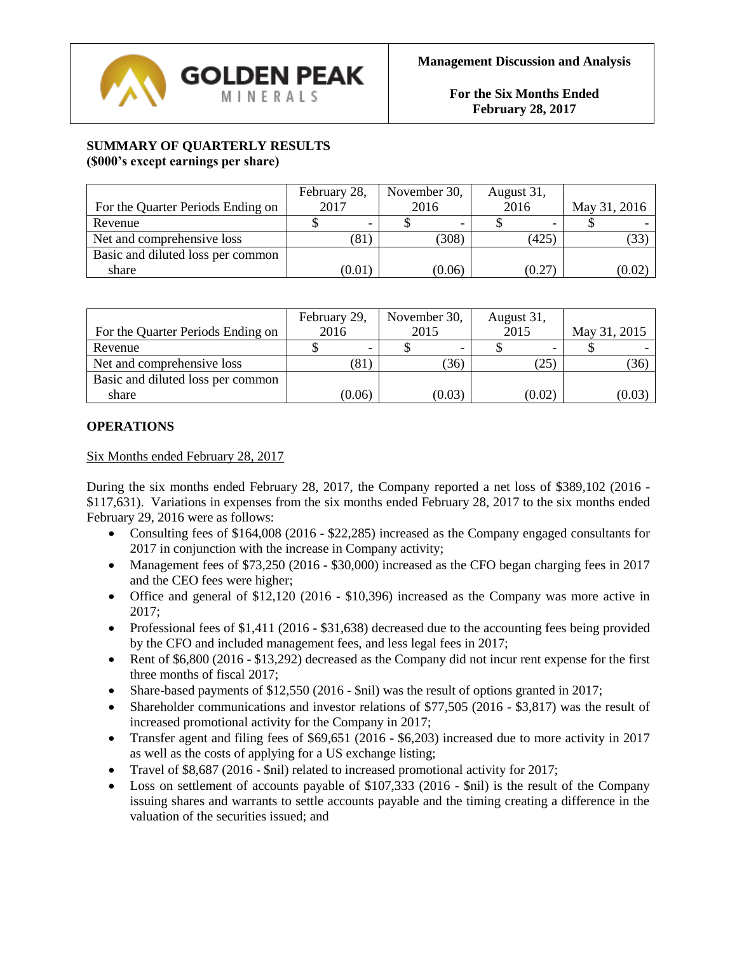

# **SUMMARY OF QUARTERLY RESULTS (\$000's except earnings per share)**

|                                   | February 28, | November 30, | August 31, |              |  |
|-----------------------------------|--------------|--------------|------------|--------------|--|
| For the Quarter Periods Ending on | 2017         | 2016         | 2016       | May 31, 2016 |  |
| Revenue                           |              |              |            |              |  |
| Net and comprehensive loss        | $81^{\circ}$ | (308)        | (425)      | (33)         |  |
| Basic and diluted loss per common |              |              |            |              |  |
| share                             | (0.01)       | (0.06)       | (0.27)     | (0.02)       |  |

|                                   | February 29, | November 30, | August 31, |              |  |
|-----------------------------------|--------------|--------------|------------|--------------|--|
| For the Quarter Periods Ending on | 2016         | 2015         | 2015       | May 31, 2015 |  |
| Revenue                           |              |              |            |              |  |
| Net and comprehensive loss        | '81`         | (36)         | (25)       | (36)         |  |
| Basic and diluted loss per common |              |              |            |              |  |
| share                             | (0.06)       | (0.03)       | (0.02)     | (0.03)       |  |

# **OPERATIONS**

Six Months ended February 28, 2017

During the six months ended February 28, 2017, the Company reported a net loss of \$389,102 (2016 - \$117,631). Variations in expenses from the six months ended February 28, 2017 to the six months ended February 29, 2016 were as follows:

- Consulting fees of \$164,008 (2016 \$22,285) increased as the Company engaged consultants for 2017 in conjunction with the increase in Company activity;
- Management fees of \$73,250 (2016 \$30,000) increased as the CFO began charging fees in 2017 and the CEO fees were higher;
- Office and general of \$12,120 (2016 \$10,396) increased as the Company was more active in 2017;
- Professional fees of  $$1,411$  (2016  $$31,638$ ) decreased due to the accounting fees being provided by the CFO and included management fees, and less legal fees in 2017;
- Rent of \$6,800 (2016 \$13,292) decreased as the Company did not incur rent expense for the first three months of fiscal 2017;
- Share-based payments of \$12,550 (2016 \$nil) was the result of options granted in 2017;
- Shareholder communications and investor relations of \$77,505 (2016 \$3,817) was the result of increased promotional activity for the Company in 2017;
- Transfer agent and filing fees of \$69,651 (2016 \$6,203) increased due to more activity in 2017 as well as the costs of applying for a US exchange listing;
- Travel of \$8,687 (2016 \$nil) related to increased promotional activity for 2017;
- Loss on settlement of accounts payable of \$107,333 (2016 \$nil) is the result of the Company issuing shares and warrants to settle accounts payable and the timing creating a difference in the valuation of the securities issued; and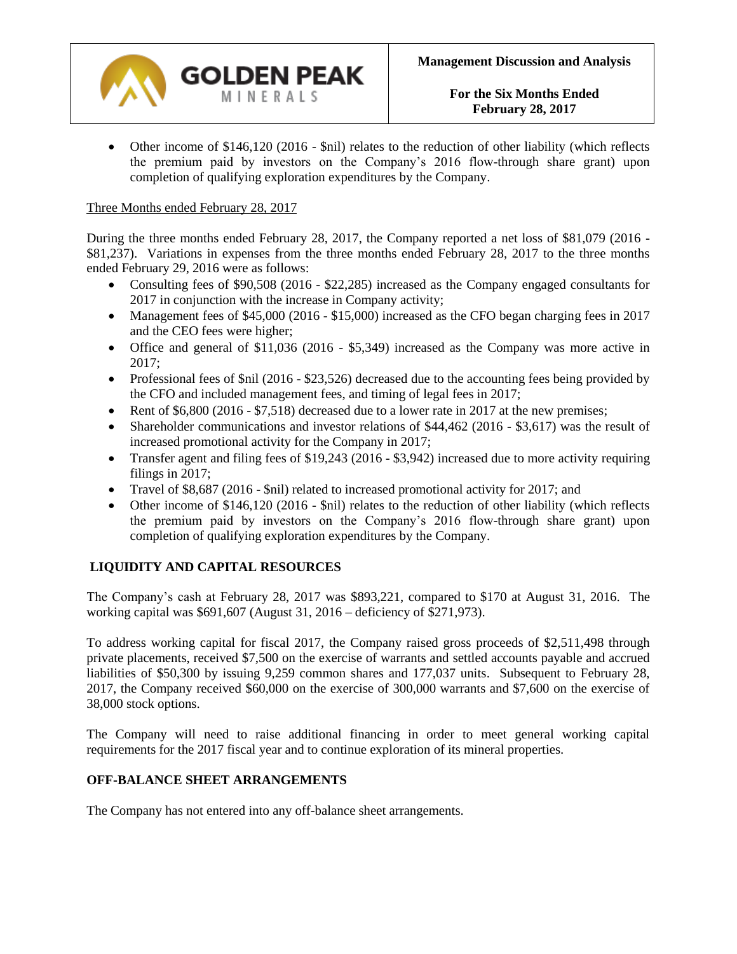

• Other income of \$146,120 (2016 - \$nil) relates to the reduction of other liability (which reflects the premium paid by investors on the Company's 2016 flow-through share grant) upon completion of qualifying exploration expenditures by the Company.

# Three Months ended February 28, 2017

During the three months ended February 28, 2017, the Company reported a net loss of \$81,079 (2016 - \$81,237). Variations in expenses from the three months ended February 28, 2017 to the three months ended February 29, 2016 were as follows:

- Consulting fees of \$90,508 (2016 \$22,285) increased as the Company engaged consultants for 2017 in conjunction with the increase in Company activity;
- Management fees of \$45,000 (2016 \$15,000) increased as the CFO began charging fees in 2017 and the CEO fees were higher;
- Office and general of \$11,036 (2016 \$5,349) increased as the Company was more active in 2017;
- Professional fees of \$nil (2016 \$23,526) decreased due to the accounting fees being provided by the CFO and included management fees, and timing of legal fees in 2017;
- Rent of \$6,800 (2016 \$7,518) decreased due to a lower rate in 2017 at the new premises;
- Shareholder communications and investor relations of \$44,462 (2016 \$3,617) was the result of increased promotional activity for the Company in 2017;
- Transfer agent and filing fees of \$19,243 (2016 \$3,942) increased due to more activity requiring filings in 2017;
- Travel of \$8,687 (2016 \$nil) related to increased promotional activity for 2017; and
- Other income of \$146,120 (2016 \$nil) relates to the reduction of other liability (which reflects the premium paid by investors on the Company's 2016 flow-through share grant) upon completion of qualifying exploration expenditures by the Company.

# **LIQUIDITY AND CAPITAL RESOURCES**

The Company's cash at February 28, 2017 was \$893,221, compared to \$170 at August 31, 2016. The working capital was \$691,607 (August 31, 2016 – deficiency of \$271,973).

To address working capital for fiscal 2017, the Company raised gross proceeds of \$2,511,498 through private placements, received \$7,500 on the exercise of warrants and settled accounts payable and accrued liabilities of \$50,300 by issuing 9,259 common shares and 177,037 units. Subsequent to February 28, 2017, the Company received \$60,000 on the exercise of 300,000 warrants and \$7,600 on the exercise of 38,000 stock options.

The Company will need to raise additional financing in order to meet general working capital requirements for the 2017 fiscal year and to continue exploration of its mineral properties.

# **OFF-BALANCE SHEET ARRANGEMENTS**

The Company has not entered into any off-balance sheet arrangements.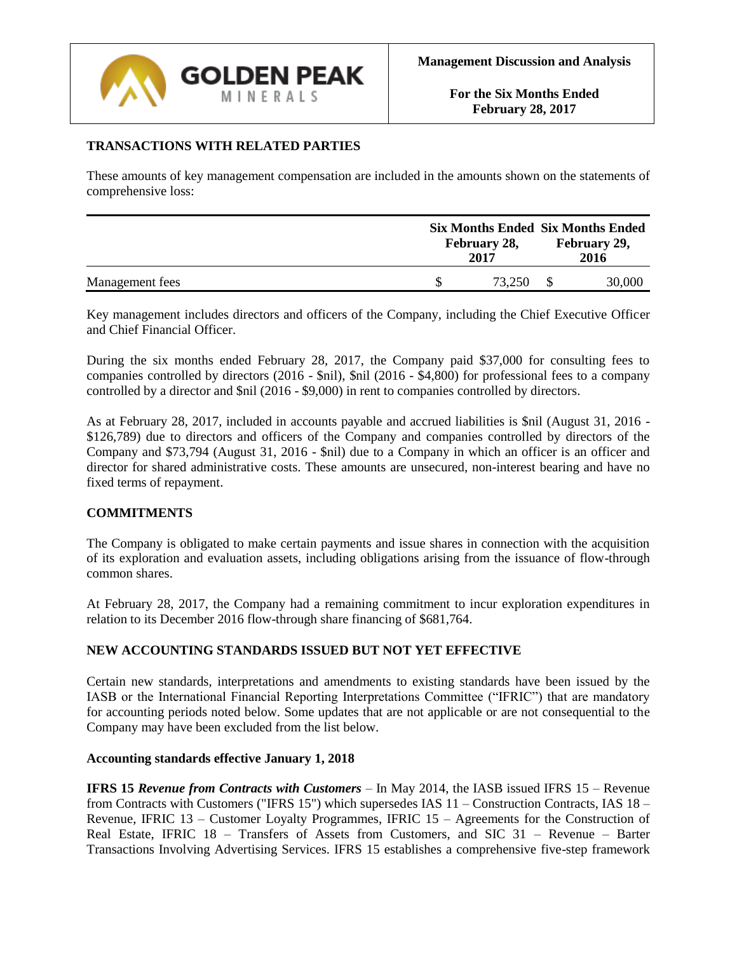

# **TRANSACTIONS WITH RELATED PARTIES**

These amounts of key management compensation are included in the amounts shown on the statements of comprehensive loss:

|                 | February 28,<br>2017 | <b>Six Months Ended Six Months Ended</b><br>February 29,<br>2016 |  |  |
|-----------------|----------------------|------------------------------------------------------------------|--|--|
| Management fees | 73.250               | 30,000                                                           |  |  |

Key management includes directors and officers of the Company, including the Chief Executive Officer and Chief Financial Officer.

During the six months ended February 28, 2017, the Company paid \$37,000 for consulting fees to companies controlled by directors (2016 - \$nil), \$nil (2016 - \$4,800) for professional fees to a company controlled by a director and \$nil (2016 - \$9,000) in rent to companies controlled by directors.

As at February 28, 2017, included in accounts payable and accrued liabilities is \$nil (August 31, 2016 - \$126,789) due to directors and officers of the Company and companies controlled by directors of the Company and \$73,794 (August 31, 2016 - \$nil) due to a Company in which an officer is an officer and director for shared administrative costs. These amounts are unsecured, non-interest bearing and have no fixed terms of repayment.

#### **COMMITMENTS**

The Company is obligated to make certain payments and issue shares in connection with the acquisition of its exploration and evaluation assets, including obligations arising from the issuance of flow-through common shares.

At February 28, 2017, the Company had a remaining commitment to incur exploration expenditures in relation to its December 2016 flow-through share financing of \$681,764.

#### **NEW ACCOUNTING STANDARDS ISSUED BUT NOT YET EFFECTIVE**

Certain new standards, interpretations and amendments to existing standards have been issued by the IASB or the International Financial Reporting Interpretations Committee ("IFRIC") that are mandatory for accounting periods noted below. Some updates that are not applicable or are not consequential to the Company may have been excluded from the list below.

#### **Accounting standards effective January 1, 2018**

**IFRS 15** *Revenue from Contracts with Customers* – In May 2014, the IASB issued IFRS 15 – Revenue from Contracts with Customers ("IFRS 15") which supersedes IAS 11 – Construction Contracts, IAS 18 – Revenue, IFRIC 13 – Customer Loyalty Programmes, IFRIC 15 – Agreements for the Construction of Real Estate, IFRIC 18 – Transfers of Assets from Customers, and SIC 31 – Revenue – Barter Transactions Involving Advertising Services. IFRS 15 establishes a comprehensive five-step framework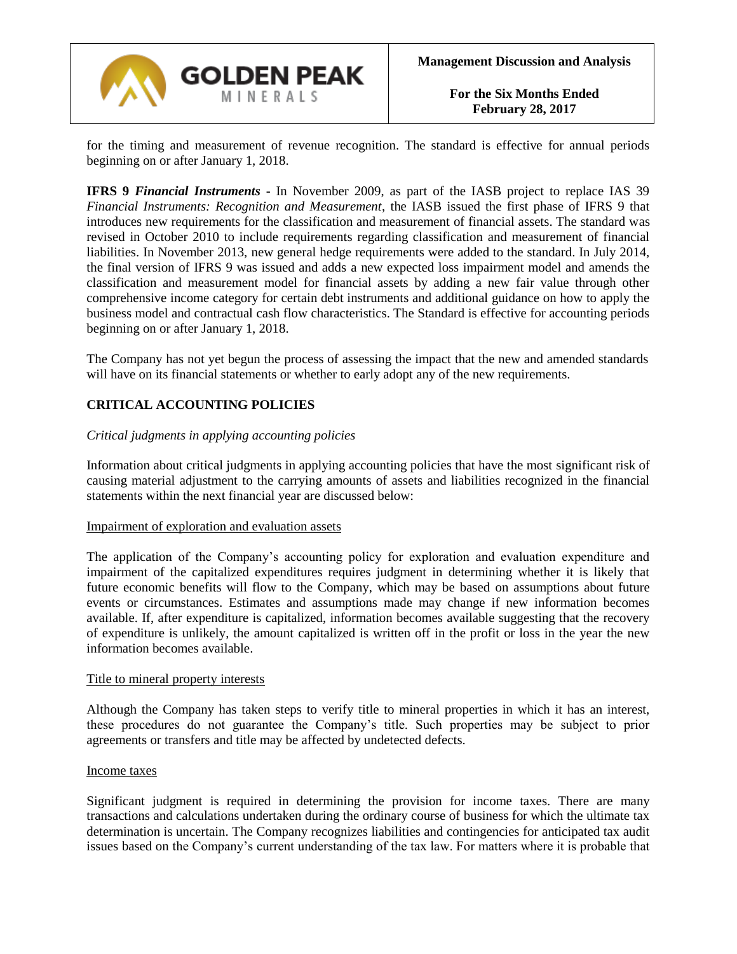

for the timing and measurement of revenue recognition. The standard is effective for annual periods beginning on or after January 1, 2018.

**IFRS 9** *Financial Instruments* - In November 2009, as part of the IASB project to replace IAS 39 *Financial Instruments: Recognition and Measurement*, the IASB issued the first phase of IFRS 9 that introduces new requirements for the classification and measurement of financial assets. The standard was revised in October 2010 to include requirements regarding classification and measurement of financial liabilities. In November 2013, new general hedge requirements were added to the standard. In July 2014, the final version of IFRS 9 was issued and adds a new expected loss impairment model and amends the classification and measurement model for financial assets by adding a new fair value through other comprehensive income category for certain debt instruments and additional guidance on how to apply the business model and contractual cash flow characteristics. The Standard is effective for accounting periods beginning on or after January 1, 2018.

The Company has not yet begun the process of assessing the impact that the new and amended standards will have on its financial statements or whether to early adopt any of the new requirements.

# **CRITICAL ACCOUNTING POLICIES**

#### *Critical judgments in applying accounting policies*

Information about critical judgments in applying accounting policies that have the most significant risk of causing material adjustment to the carrying amounts of assets and liabilities recognized in the financial statements within the next financial year are discussed below:

#### Impairment of exploration and evaluation assets

The application of the Company's accounting policy for exploration and evaluation expenditure and impairment of the capitalized expenditures requires judgment in determining whether it is likely that future economic benefits will flow to the Company, which may be based on assumptions about future events or circumstances. Estimates and assumptions made may change if new information becomes available. If, after expenditure is capitalized, information becomes available suggesting that the recovery of expenditure is unlikely, the amount capitalized is written off in the profit or loss in the year the new information becomes available.

#### Title to mineral property interests

Although the Company has taken steps to verify title to mineral properties in which it has an interest, these procedures do not guarantee the Company's title. Such properties may be subject to prior agreements or transfers and title may be affected by undetected defects.

#### Income taxes

Significant judgment is required in determining the provision for income taxes. There are many transactions and calculations undertaken during the ordinary course of business for which the ultimate tax determination is uncertain. The Company recognizes liabilities and contingencies for anticipated tax audit issues based on the Company's current understanding of the tax law. For matters where it is probable that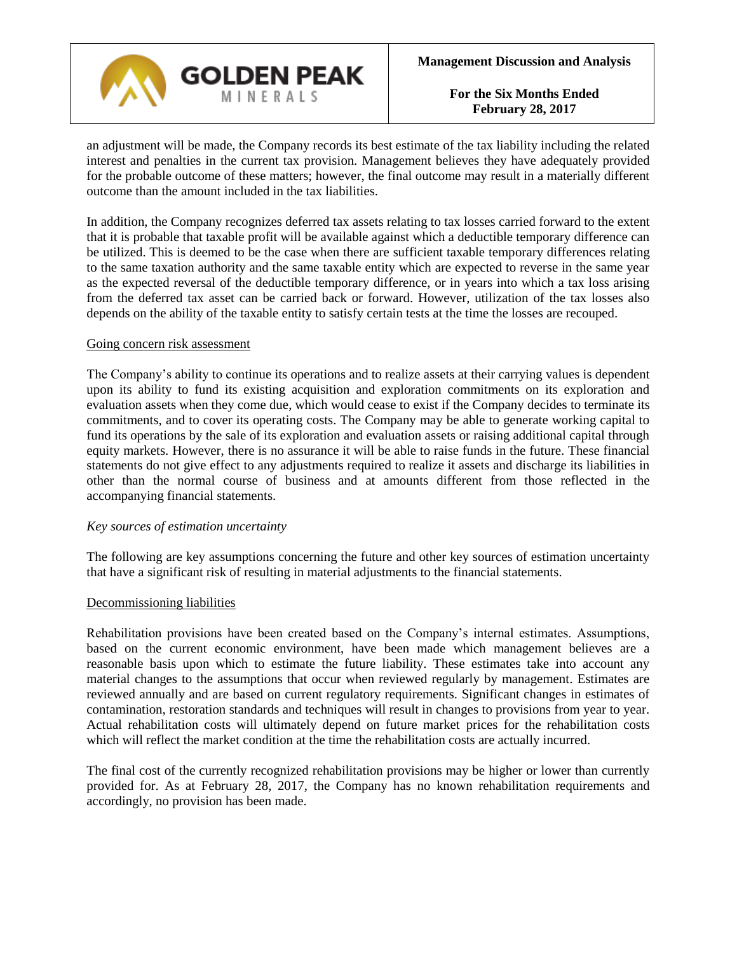

an adjustment will be made, the Company records its best estimate of the tax liability including the related interest and penalties in the current tax provision. Management believes they have adequately provided for the probable outcome of these matters; however, the final outcome may result in a materially different outcome than the amount included in the tax liabilities.

In addition, the Company recognizes deferred tax assets relating to tax losses carried forward to the extent that it is probable that taxable profit will be available against which a deductible temporary difference can be utilized. This is deemed to be the case when there are sufficient taxable temporary differences relating to the same taxation authority and the same taxable entity which are expected to reverse in the same year as the expected reversal of the deductible temporary difference, or in years into which a tax loss arising from the deferred tax asset can be carried back or forward. However, utilization of the tax losses also depends on the ability of the taxable entity to satisfy certain tests at the time the losses are recouped.

#### Going concern risk assessment

The Company's ability to continue its operations and to realize assets at their carrying values is dependent upon its ability to fund its existing acquisition and exploration commitments on its exploration and evaluation assets when they come due, which would cease to exist if the Company decides to terminate its commitments, and to cover its operating costs. The Company may be able to generate working capital to fund its operations by the sale of its exploration and evaluation assets or raising additional capital through equity markets. However, there is no assurance it will be able to raise funds in the future. These financial statements do not give effect to any adjustments required to realize it assets and discharge its liabilities in other than the normal course of business and at amounts different from those reflected in the accompanying financial statements.

#### *Key sources of estimation uncertainty*

The following are key assumptions concerning the future and other key sources of estimation uncertainty that have a significant risk of resulting in material adjustments to the financial statements.

#### Decommissioning liabilities

Rehabilitation provisions have been created based on the Company's internal estimates. Assumptions, based on the current economic environment, have been made which management believes are a reasonable basis upon which to estimate the future liability. These estimates take into account any material changes to the assumptions that occur when reviewed regularly by management. Estimates are reviewed annually and are based on current regulatory requirements. Significant changes in estimates of contamination, restoration standards and techniques will result in changes to provisions from year to year. Actual rehabilitation costs will ultimately depend on future market prices for the rehabilitation costs which will reflect the market condition at the time the rehabilitation costs are actually incurred.

The final cost of the currently recognized rehabilitation provisions may be higher or lower than currently provided for. As at February 28, 2017, the Company has no known rehabilitation requirements and accordingly, no provision has been made.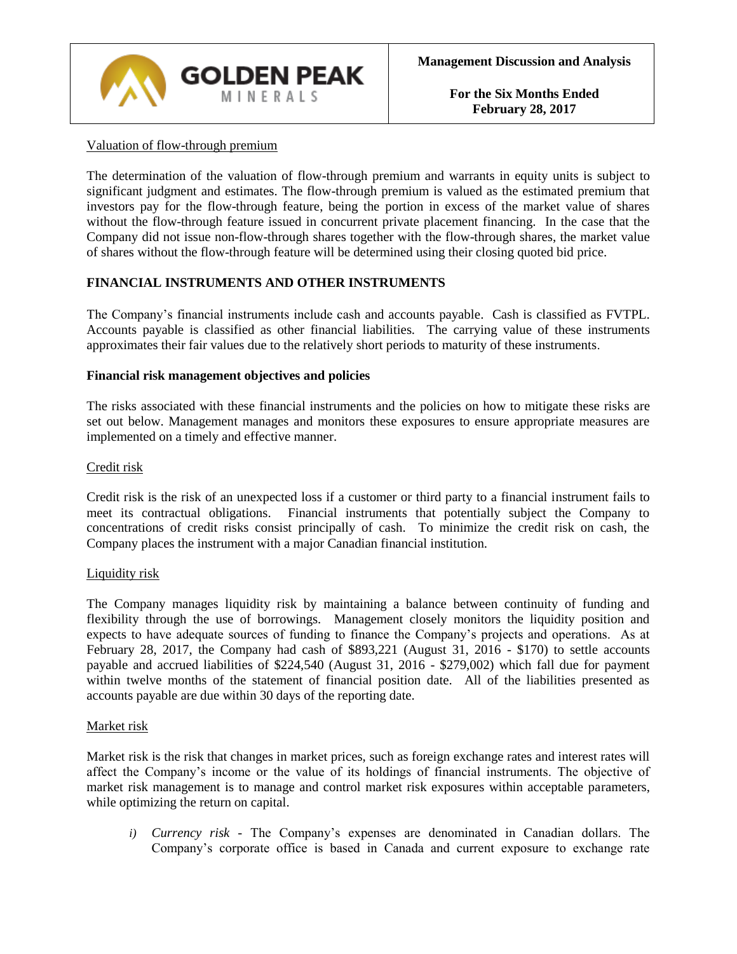

# Valuation of flow-through premium

The determination of the valuation of flow-through premium and warrants in equity units is subject to significant judgment and estimates. The flow-through premium is valued as the estimated premium that investors pay for the flow-through feature, being the portion in excess of the market value of shares without the flow-through feature issued in concurrent private placement financing. In the case that the Company did not issue non-flow-through shares together with the flow-through shares, the market value of shares without the flow-through feature will be determined using their closing quoted bid price.

### **FINANCIAL INSTRUMENTS AND OTHER INSTRUMENTS**

The Company's financial instruments include cash and accounts payable. Cash is classified as FVTPL. Accounts payable is classified as other financial liabilities. The carrying value of these instruments approximates their fair values due to the relatively short periods to maturity of these instruments.

#### **Financial risk management objectives and policies**

The risks associated with these financial instruments and the policies on how to mitigate these risks are set out below. Management manages and monitors these exposures to ensure appropriate measures are implemented on a timely and effective manner.

#### Credit risk

Credit risk is the risk of an unexpected loss if a customer or third party to a financial instrument fails to meet its contractual obligations. Financial instruments that potentially subject the Company to concentrations of credit risks consist principally of cash. To minimize the credit risk on cash, the Company places the instrument with a major Canadian financial institution.

#### Liquidity risk

The Company manages liquidity risk by maintaining a balance between continuity of funding and flexibility through the use of borrowings. Management closely monitors the liquidity position and expects to have adequate sources of funding to finance the Company's projects and operations. As at February 28, 2017, the Company had cash of \$893,221 (August 31, 2016 - \$170) to settle accounts payable and accrued liabilities of \$224,540 (August 31, 2016 - \$279,002) which fall due for payment within twelve months of the statement of financial position date. All of the liabilities presented as accounts payable are due within 30 days of the reporting date.

#### Market risk

Market risk is the risk that changes in market prices, such as foreign exchange rates and interest rates will affect the Company's income or the value of its holdings of financial instruments. The objective of market risk management is to manage and control market risk exposures within acceptable parameters, while optimizing the return on capital.

*i) Currency risk -* The Company's expenses are denominated in Canadian dollars. The Company's corporate office is based in Canada and current exposure to exchange rate